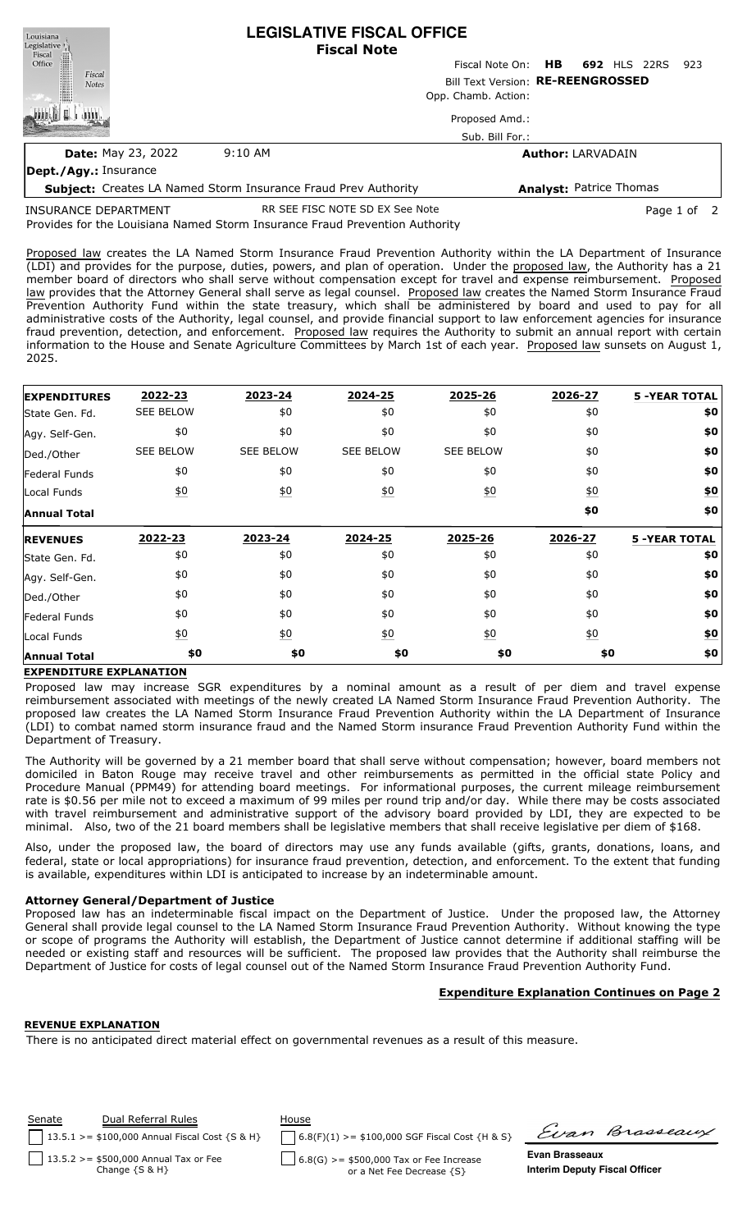| Louisiana<br>Legislative <sup>1</sup>                                 | <b>LEGISLATIVE FISCAL OFFICE</b><br><b>Fiscal Note</b> |                           |                                |  |  |  |  |  |
|-----------------------------------------------------------------------|--------------------------------------------------------|---------------------------|--------------------------------|--|--|--|--|--|
| Fiscal<br>Office                                                      |                                                        | Fiscal Note On: <b>HB</b> | <b>692 HLS 22RS</b><br>-923    |  |  |  |  |  |
| Fiscal<br><b>Notes</b>                                                | Bill Text Version: RE-REENGROSSED                      |                           |                                |  |  |  |  |  |
|                                                                       |                                                        | Opp. Chamb. Action:       |                                |  |  |  |  |  |
|                                                                       |                                                        | Proposed Amd.:            |                                |  |  |  |  |  |
|                                                                       |                                                        | Sub. Bill For.:           |                                |  |  |  |  |  |
| <b>Date: May 23, 2022</b>                                             | $9:10 \text{ AM}$                                      |                           | <b>Author: LARVADAIN</b>       |  |  |  |  |  |
| Dept./Agy.: Insurance                                                 |                                                        |                           |                                |  |  |  |  |  |
| <b>Subject:</b> Creates LA Named Storm Insurance Fraud Prev Authority |                                                        |                           | <b>Analyst: Patrice Thomas</b> |  |  |  |  |  |

INSURANCE DEPARTMENT

2025.

Provides for the Louisiana Named Storm Insurance Fraud Prevention Authority RR SEE FISC NOTE SD EX See Note **Page 1** of 2

Proposed law creates the LA Named Storm Insurance Fraud Prevention Authority within the LA Department of Insurance (LDI) and provides for the purpose, duties, powers, and plan of operation. Under the proposed law, the Authority has a 21 member board of directors who shall serve without compensation except for travel and expense reimbursement. Proposed law provides that the Attorney General shall serve as legal counsel. Proposed law creates the Named Storm Insurance Fraud Prevention Authority Fund within the state treasury, which shall be administered by board and used to pay for all administrative costs of the Authority, legal counsel, and provide financial support to law enforcement agencies for insurance fraud prevention, detection, and enforcement. Proposed law requires the Authority to submit an annual report with certain information to the House and Senate Agriculture Committees by March 1st of each year. Proposed law sunsets on August 1,

**EXPENDITURES** State Gen. Fd. Agy. Self-Gen. Ded./Other Federal Funds Local Funds **Annual Total REVENUES** State Gen. Fd. Agy. Self-Gen. Ded./Other Federal Funds Local Funds **Annual Total 2022-23 2023-24 2024-25 2025-26 2026-27 5 -YEAR TOTAL** SEE BELOW \$0 \$0 \$0 \$0 **\$0** \$0 \$0 \$0 \$0 \$0 **\$0** SEE BELOW SEE BELOW SEE BELOW SEE BELOW \$0 **\$0** \$0 \$0 \$0 \$0 \$0 **\$0** \$0 \$0 \$0 \$0 \$0 **\$0 \$0 \$0** \$0 \$0 \$0 \$0 \$0 **\$0** \$0 \$0 \$0 \$0 \$0 **\$0** \$0 \$0 \$0 \$0 \$0 **\$0** \$0 \$0 \$0 \$0 \$0 **\$0** \$0 \$0 \$0 \$0 \$0 **\$0 \$0 \$0 \$0 \$0 \$0 \$0 2022-23 2023-24 2024-25 2025-26 2026-27 5 -YEAR TOTAL**

# **EXPENDITURE EXPLANATION**

Proposed law may increase SGR expenditures by a nominal amount as a result of per diem and travel expense reimbursement associated with meetings of the newly created LA Named Storm Insurance Fraud Prevention Authority. The proposed law creates the LA Named Storm Insurance Fraud Prevention Authority within the LA Department of Insurance (LDI) to combat named storm insurance fraud and the Named Storm insurance Fraud Prevention Authority Fund within the Department of Treasury.

The Authority will be governed by a 21 member board that shall serve without compensation; however, board members not domiciled in Baton Rouge may receive travel and other reimbursements as permitted in the official state Policy and Procedure Manual (PPM49) for attending board meetings. For informational purposes, the current mileage reimbursement rate is \$0.56 per mile not to exceed a maximum of 99 miles per round trip and/or day. While there may be costs associated with travel reimbursement and administrative support of the advisory board provided by LDI, they are expected to be minimal. Also, two of the 21 board members shall be legislative members that shall receive legislative per diem of \$168.

Also, under the proposed law, the board of directors may use any funds available (gifts, grants, donations, loans, and federal, state or local appropriations) for insurance fraud prevention, detection, and enforcement. To the extent that funding is available, expenditures within LDI is anticipated to increase by an indeterminable amount.

# **Attorney General/Department of Justice**

Proposed law has an indeterminable fiscal impact on the Department of Justice. Under the proposed law, the Attorney General shall provide legal counsel to the LA Named Storm Insurance Fraud Prevention Authority. Without knowing the type or scope of programs the Authority will establish, the Department of Justice cannot determine if additional staffing will be needed or existing staff and resources will be sufficient. The proposed law provides that the Authority shall reimburse the Department of Justice for costs of legal counsel out of the Named Storm Insurance Fraud Prevention Authority Fund.

# **Expenditure Explanation Continues on Page 2**

## **REVENUE EXPLANATION**

There is no anticipated direct material effect on governmental revenues as a result of this measure.